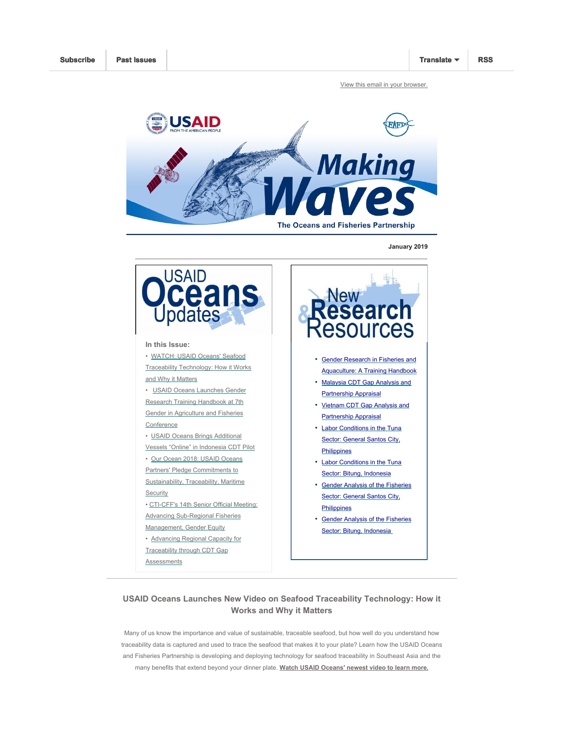View this email in your browser.



January 2019



# searc esources • Gender Research in Fisheries and Aquaculture: A Training Handbook • Malaysia CDT Gap Analysis and Partnership Appraisal • Vietnam CDT Gap Analysis and Partnership Appraisal • Labor Conditions in the Tuna Sector: General Santos City, Philippines • Labor Conditions in the Tuna Sector: Bitung, Indonesia • Gender Analysis of the Fisheries Sector: General Santos City, **Philippines** • Gender Analysis of the Fisheries Sector: Bitung, Indonesia

### USAID Oceans Launches New Video on Seafood Traceability Technology: How it Works and Why it Matters

Many of us know the importance and value of sustainable, traceable seafood, but how well do you understand how traceability data is captured and used to trace the seafood that makes it to your plate? Learn how the USAID Oceans and Fisheries Partnership is developing and deploying technology for seafood traceability in Southeast Asia and the many benefits that extend beyond your dinner plate. Watch USAID Oceans' newest video to learn more.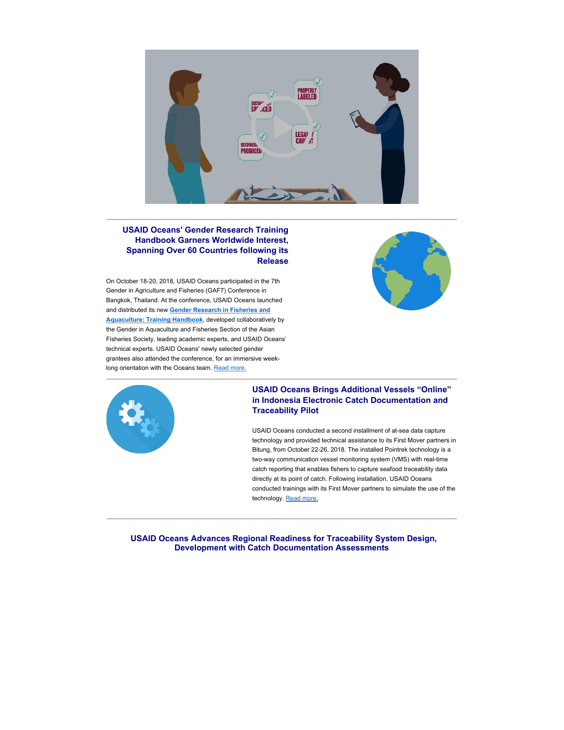

#### USAID Oceans' Gender Research Training Handbook Garners Worldwide Interest, Spanning Over 60 Countries following its Release

On October 18-20, 2018, USAID Oceans participated in the 7th Gender in Agriculture and Fisheries (GAF7) Conference in Bangkok, Thailand. At the conference, USAID Oceans launched and distributed its new **Gender Research in Fisheries and** Aquaculture: Training Handbook, developed collaboratively by the Gender in Aquaculture and Fisheries Section of the Asian Fisheries Society, leading academic experts, and USAID Oceans' technical experts. USAID Oceans' newly selected gender grantees also attended the conference, for an immersive weeklong orientation with the Oceans team. Read more.





#### USAID Oceans Brings Additional Vessels "Online" in Indonesia Electronic Catch Documentation and Traceability Pilot

USAID Oceans conducted a second installment of at-sea data capture technology and provided technical assistance to its First Mover partners in Bitung, from October 22-26, 2018. The installed Pointrek technology is a two-way communication vessel monitoring system (VMS) with real-time catch reporting that enables fishers to capture seafood traceability data directly at its point of catch. Following installation, USAID Oceans conducted trainings with its First Mover partners to simulate the use of the technology. Read more.

USAID Oceans Advances Regional Readiness for Traceability System Design, Development with Catch Documentation Assessments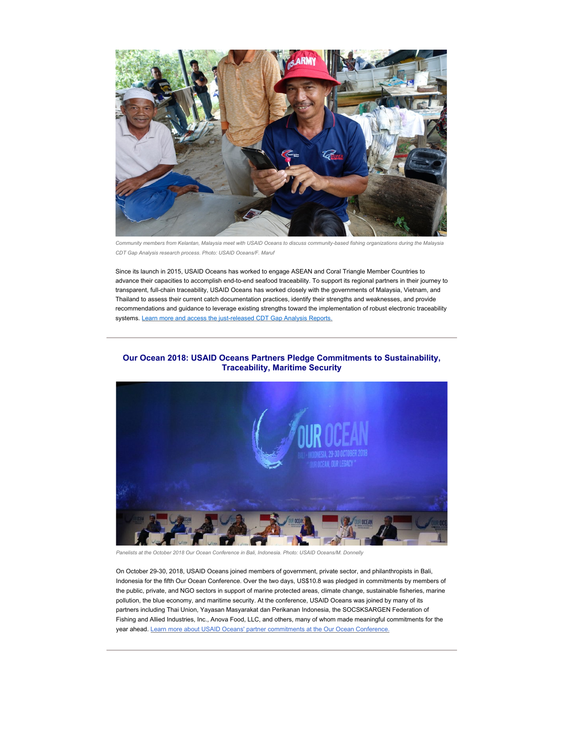

Community members from Kelantan, Malaysia meet with USAID Oceans to discuss community-based fishing organizations during the Malaysia CDT Gap Analysis research process. Photo: USAID Oceans/F. Maruf

Since its launch in 2015, USAID Oceans has worked to engage ASEAN and Coral Triangle Member Countries to advance their capacities to accomplish end-to-end seafood traceability. To support its regional partners in their journey to transparent, full-chain traceability, USAID Oceans has worked closely with the governments of Malaysia, Vietnam, and Thailand to assess their current catch documentation practices, identify their strengths and weaknesses, and provide recommendations and guidance to leverage existing strengths toward the implementation of robust electronic traceability systems. Learn more and access the just-released CDT Gap Analysis Reports.

## Our Ocean 2018: USAID Oceans Partners Pledge Commitments to Sustainability, Traceability, Maritime Security



Panelists at the October 2018 Our Ocean Conference in Bali, Indonesia. Photo: USAID Oceans/M. Donnelly

On October 29-30, 2018, USAID Oceans joined members of government, private sector, and philanthropists in Bali, Indonesia for the fifth Our Ocean Conference. Over the two days, US\$10.8 was pledged in commitments by members of the public, private, and NGO sectors in support of marine protected areas, climate change, sustainable fisheries, marine pollution, the blue economy, and maritime security. At the conference, USAID Oceans was joined by many of its partners including Thai Union, Yayasan Masyarakat dan Perikanan Indonesia, the SOCSKSARGEN Federation of Fishing and Allied Industries, Inc., Anova Food, LLC, and others, many of whom made meaningful commitments for the year ahead. Learn more about USAID Oceans' partner commitments at the Our Ocean Conference.